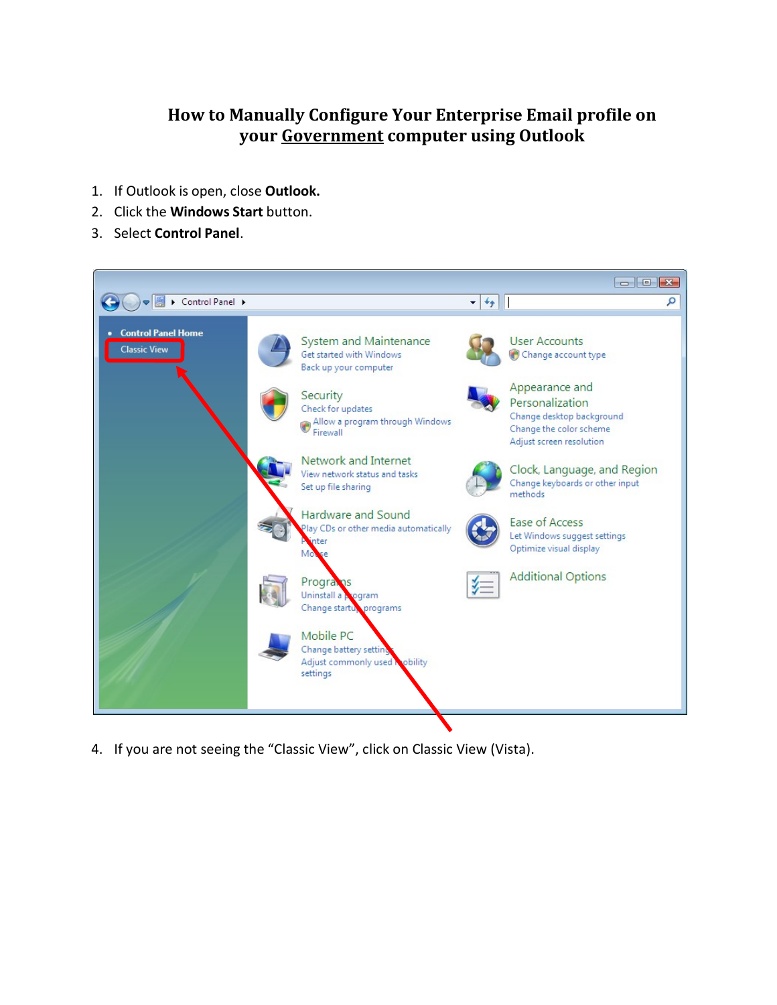## **How to Manually Configure Your Enterprise Email profile on your Government computer using Outlook**

- 1. If Outlook is open, close **Outlook.**
- 2. Click the **Windows Start** button.
- 3. Select **Control Panel**.



4. If you are not seeing the "Classic View", click on Classic View (Vista).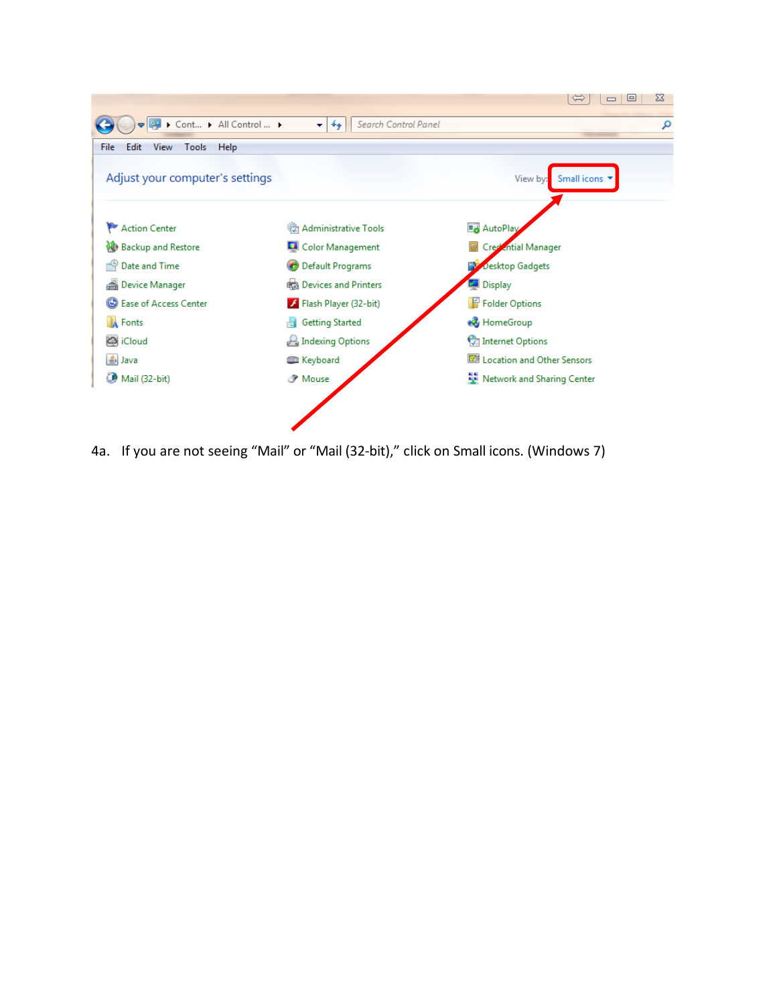

4a. If you are not seeing "Mail" or "Mail (32-bit)," click on Small icons. (Windows 7)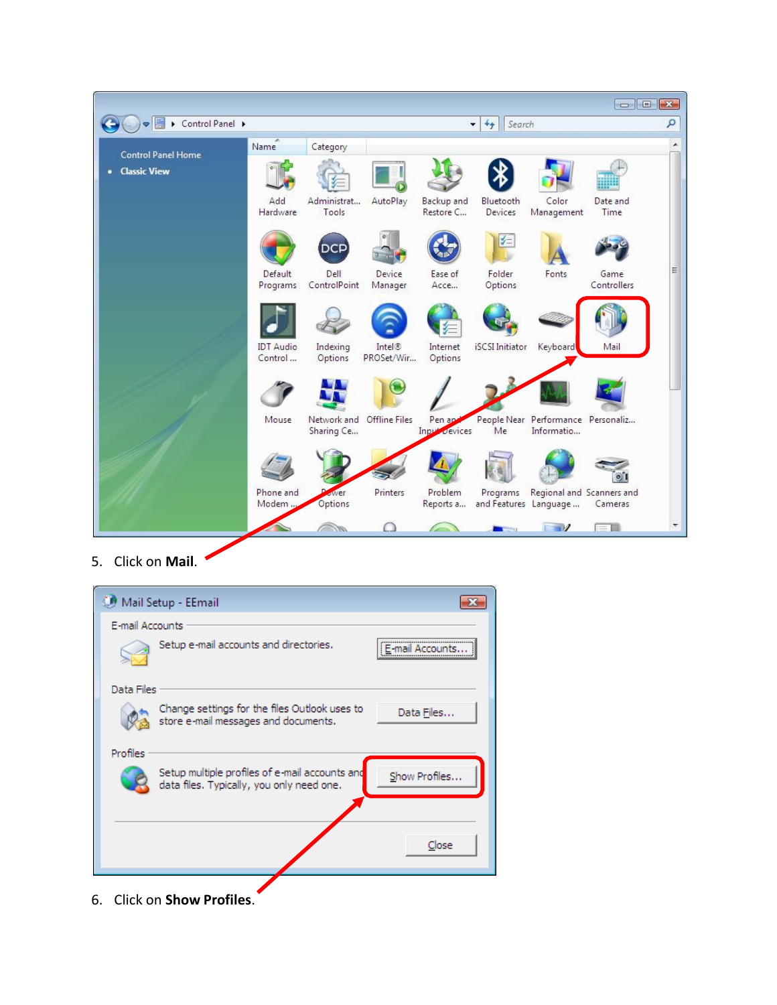|                           |                             |                           |                      |                          |                             |                                                    |                     | $\begin{array}{c c c c c c} \hline \multicolumn{3}{c }{\mathbf{C}} & \multicolumn{3}{c }{\mathbf{X}} \end{array}$ |
|---------------------------|-----------------------------|---------------------------|----------------------|--------------------------|-----------------------------|----------------------------------------------------|---------------------|-------------------------------------------------------------------------------------------------------------------|
| Control Panel >           |                             |                           |                      |                          | Search<br>$+$<br>▼.         |                                                    |                     | ٩                                                                                                                 |
| <b>Control Panel Home</b> | Name                        | Category                  |                      |                          |                             |                                                    |                     |                                                                                                                   |
| • Classic View            |                             |                           |                      |                          |                             |                                                    |                     |                                                                                                                   |
|                           | Add<br>Hardware             | Administrat<br>Tools      | AutoPlay             | Backup and<br>Restore C  | Bluetooth<br><b>Devices</b> | Color<br>Management                                | Date and<br>Time    |                                                                                                                   |
|                           |                             | DCF                       |                      |                          | '∕≔                         |                                                    |                     |                                                                                                                   |
|                           | Default<br>Programs         | Dell<br>ControlPoint      | Device<br>Manager    | Ease of<br>Acce          | <b>Folder</b><br>Options    | Fonts                                              | Game<br>Controllers | Ξ                                                                                                                 |
|                           |                             |                           |                      |                          |                             |                                                    |                     |                                                                                                                   |
|                           | <b>IDT</b> Audio<br>Control | Indexing<br>Options       | Intel®<br>PROSet/Wir | Internet<br>Options      | <b>iSCSI</b> Initiator      | Keyboard                                           | Mail                |                                                                                                                   |
|                           |                             |                           |                      |                          |                             |                                                    |                     |                                                                                                                   |
|                           | Mouse                       | Network and<br>Sharing Ce | <b>Offline Files</b> | Pen app<br>Input Devices | Me                          | People Near Performance Personaliz<br>Informatio   |                     |                                                                                                                   |
|                           |                             |                           |                      |                          |                             |                                                    |                     |                                                                                                                   |
|                           | Phone and<br>Modem          | wer<br>Options            | Printers             | Problem<br>Reports a     | Programs                    | Regional and Scanners and<br>and Features Language | Cameras             |                                                                                                                   |
|                           |                             |                           |                      |                          |                             | $\blacksquare$                                     | 三目                  |                                                                                                                   |

5. Click on **Mail**.



6. Click on **Show Profiles**.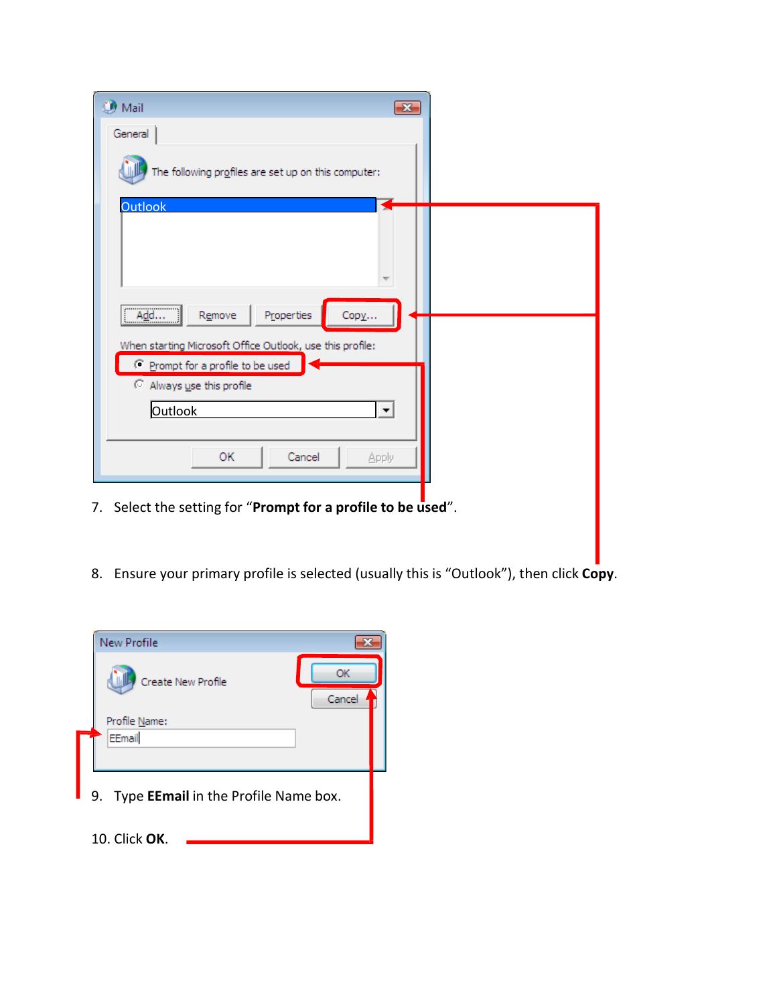| <b>Mail</b><br>$\rightarrow$                                                                                              |  |
|---------------------------------------------------------------------------------------------------------------------------|--|
| General                                                                                                                   |  |
| The following profiles are set up on this computer:                                                                       |  |
| <b>Outlook</b>                                                                                                            |  |
| Properties<br>Remove<br>Copy<br>Add                                                                                       |  |
| When starting Microsoft Office Outlook, use this profile:<br>C Prompt for a profile to be used<br>Always use this profile |  |
| Outlook<br>$\blacktriangledown$                                                                                           |  |
| Cancel<br>ОК<br>Apply                                                                                                     |  |
| Select the setting for "Prompt for a profile to be used".<br>7.                                                           |  |

8. Ensure your primary profile is selected (usually this is "Outlook"), then click **Copy**.

| <b>New Profile</b>                                |              |
|---------------------------------------------------|--------------|
| Create New Profile                                | ΩK<br>Cancel |
| Profile Name:<br>EEmail                           |              |
| Type <b>EEmail</b> in the Profile Name box.<br>9. |              |
| 10. Click OK.                                     |              |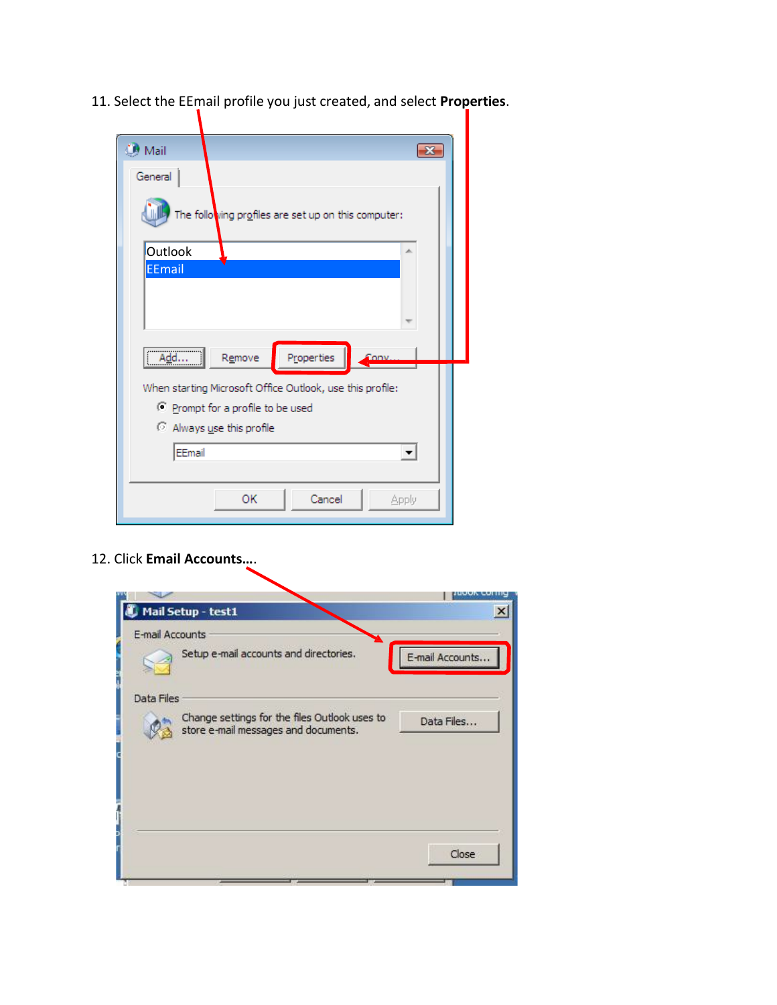11. Select the EEmail profile you just created, and select **Properties**.

| $\blacksquare$ Mail                                       |
|-----------------------------------------------------------|
| General                                                   |
| The following profiles are set up on this computer:       |
| Outlook<br>∸                                              |
| <b>EEmail</b>                                             |
|                                                           |
| Properties<br>Remove<br>Conv<br>Add                       |
| When starting Microsoft Office Outlook, use this profile: |
| C Prompt for a profile to be used                         |
| Always use this profile                                   |
|                                                           |
| EEmail                                                    |
|                                                           |
| ОК<br>Cancel<br>Apply                                     |
|                                                           |

12. Click **Email Accounts…**.

| E-mail Accounts |                                                                                       |                 |
|-----------------|---------------------------------------------------------------------------------------|-----------------|
|                 | Setup e-mail accounts and directories.                                                | E-mail Accounts |
| Data Files      |                                                                                       |                 |
|                 | Change settings for the files Outlook uses to<br>store e-mail messages and documents. | Data Files      |
|                 |                                                                                       |                 |
|                 |                                                                                       |                 |
|                 |                                                                                       |                 |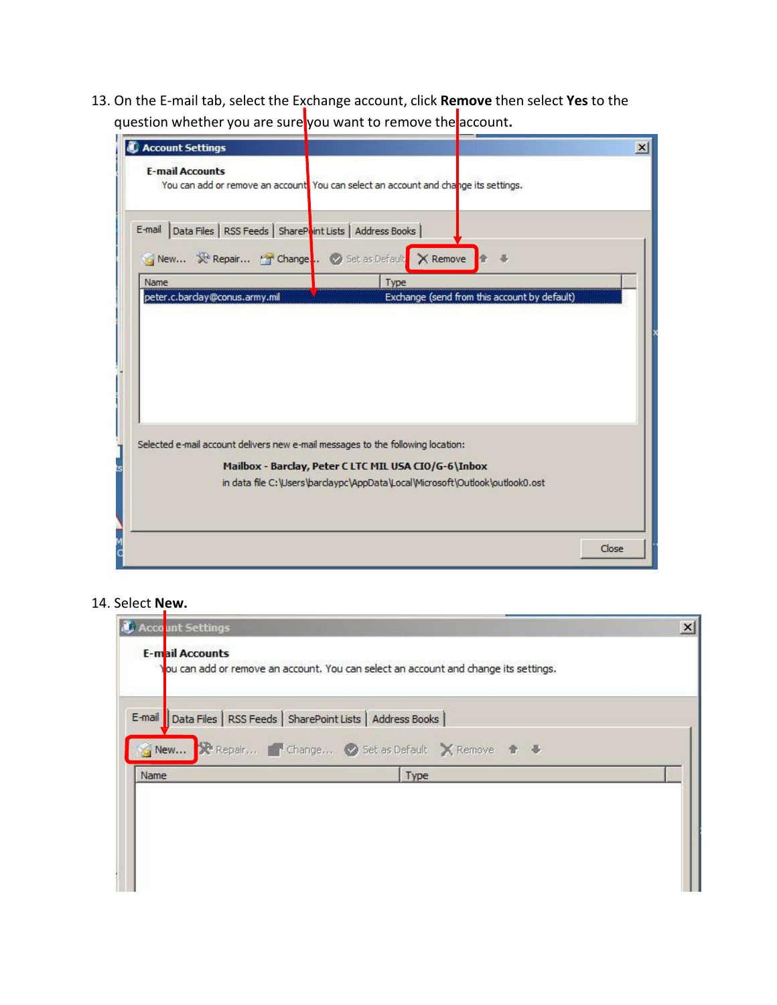13. On the E-mail tab, select the Exchange account, click **Remove** then select **Yes** to the question whether you are sure you want to remove the account**.**

| <b>Account Settings</b><br><b>E-mail Accounts</b><br>You can add or remove an account You can select an account and change its settings.<br>Data Files   RSS Feeds   SharePoint Lists   Address Books<br>E-mail<br>New X Repair T Change . Set as Default X Remove<br>Type<br>Name<br>Exchange (send from this account by default)<br>peter.c.barday@conus.army.mil<br>Selected e-mail account delivers new e-mail messages to the following location:<br>Mailbox - Barclay, Peter C LTC MIL USA CIO/G-6\Inbox<br>in data file C:\Users\bardaypc\AppData\Local\Microsoft\Outlook\outlook0.ost<br>Close |  |
|--------------------------------------------------------------------------------------------------------------------------------------------------------------------------------------------------------------------------------------------------------------------------------------------------------------------------------------------------------------------------------------------------------------------------------------------------------------------------------------------------------------------------------------------------------------------------------------------------------|--|
|                                                                                                                                                                                                                                                                                                                                                                                                                                                                                                                                                                                                        |  |
|                                                                                                                                                                                                                                                                                                                                                                                                                                                                                                                                                                                                        |  |
|                                                                                                                                                                                                                                                                                                                                                                                                                                                                                                                                                                                                        |  |
|                                                                                                                                                                                                                                                                                                                                                                                                                                                                                                                                                                                                        |  |
|                                                                                                                                                                                                                                                                                                                                                                                                                                                                                                                                                                                                        |  |
|                                                                                                                                                                                                                                                                                                                                                                                                                                                                                                                                                                                                        |  |
|                                                                                                                                                                                                                                                                                                                                                                                                                                                                                                                                                                                                        |  |
|                                                                                                                                                                                                                                                                                                                                                                                                                                                                                                                                                                                                        |  |
|                                                                                                                                                                                                                                                                                                                                                                                                                                                                                                                                                                                                        |  |
|                                                                                                                                                                                                                                                                                                                                                                                                                                                                                                                                                                                                        |  |
|                                                                                                                                                                                                                                                                                                                                                                                                                                                                                                                                                                                                        |  |
|                                                                                                                                                                                                                                                                                                                                                                                                                                                                                                                                                                                                        |  |
|                                                                                                                                                                                                                                                                                                                                                                                                                                                                                                                                                                                                        |  |
|                                                                                                                                                                                                                                                                                                                                                                                                                                                                                                                                                                                                        |  |
|                                                                                                                                                                                                                                                                                                                                                                                                                                                                                                                                                                                                        |  |
|                                                                                                                                                                                                                                                                                                                                                                                                                                                                                                                                                                                                        |  |
|                                                                                                                                                                                                                                                                                                                                                                                                                                                                                                                                                                                                        |  |
|                                                                                                                                                                                                                                                                                                                                                                                                                                                                                                                                                                                                        |  |
|                                                                                                                                                                                                                                                                                                                                                                                                                                                                                                                                                                                                        |  |
|                                                                                                                                                                                                                                                                                                                                                                                                                                                                                                                                                                                                        |  |
|                                                                                                                                                                                                                                                                                                                                                                                                                                                                                                                                                                                                        |  |
|                                                                                                                                                                                                                                                                                                                                                                                                                                                                                                                                                                                                        |  |
|                                                                                                                                                                                                                                                                                                                                                                                                                                                                                                                                                                                                        |  |
|                                                                                                                                                                                                                                                                                                                                                                                                                                                                                                                                                                                                        |  |
|                                                                                                                                                                                                                                                                                                                                                                                                                                                                                                                                                                                                        |  |
|                                                                                                                                                                                                                                                                                                                                                                                                                                                                                                                                                                                                        |  |
|                                                                                                                                                                                                                                                                                                                                                                                                                                                                                                                                                                                                        |  |
|                                                                                                                                                                                                                                                                                                                                                                                                                                                                                                                                                                                                        |  |
|                                                                                                                                                                                                                                                                                                                                                                                                                                                                                                                                                                                                        |  |
|                                                                                                                                                                                                                                                                                                                                                                                                                                                                                                                                                                                                        |  |

## 14. Select **New.**

| Acco <mark>unt Settings</mark>                                     |                                                                                      | $\times$ |
|--------------------------------------------------------------------|--------------------------------------------------------------------------------------|----------|
| <b>E-mail Accounts</b>                                             | You can add or remove an account. You can select an account and change its settings. |          |
| E-mail   Data Files   RSS Feeds   SharePoint Lists   Address Books | New R Repair T Change O Set as Default X Remove 4 &                                  |          |
| Name                                                               | Type                                                                                 |          |
|                                                                    |                                                                                      |          |
|                                                                    |                                                                                      |          |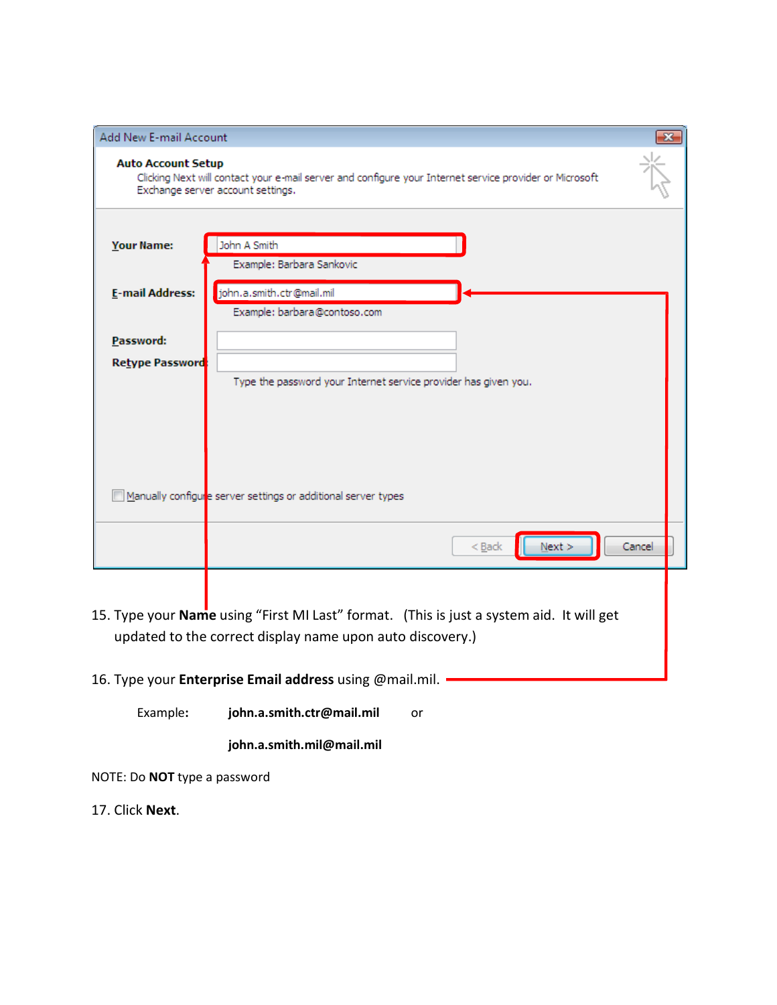| Add New E-mail Account              |                                                                                                                                                              | $\mathbf{x}$ |
|-------------------------------------|--------------------------------------------------------------------------------------------------------------------------------------------------------------|--------------|
| <b>Auto Account Setup</b>           | Clicking Next will contact your e-mail server and configure your Internet service provider or Microsoft<br>Exchange server account settings.                 |              |
| Your Name:                          | John A Smith<br>Example: Barbara Sankovic                                                                                                                    |              |
| <b>E-mail Address:</b>              | john.a.smith.ctr@mail.mil<br>Example: barbara@contoso.com                                                                                                    |              |
| Password:<br><b>Retype Password</b> |                                                                                                                                                              |              |
|                                     | Type the password your Internet service provider has given you.                                                                                              |              |
|                                     |                                                                                                                                                              |              |
|                                     | Manually configure server settings or additional server types                                                                                                |              |
|                                     | Next<br>Cancel<br>$Back$                                                                                                                                     |              |
|                                     |                                                                                                                                                              |              |
|                                     | 15. Type your <b>Name</b> using "First MI Last" format. (This is just a system aid. It will get<br>updated to the correct display name upon auto discovery.) |              |

- 16. Type your **Enterprise Email address** using @mail.mil.
	- Example**: [john.a.smith.ctr@mail.mil](mailto:john.a.smith.ctr@mail.mil)** or

**john.a.smith.mil@mail.mil**

NOTE: Do **NOT** type a password

17. Click **Next**.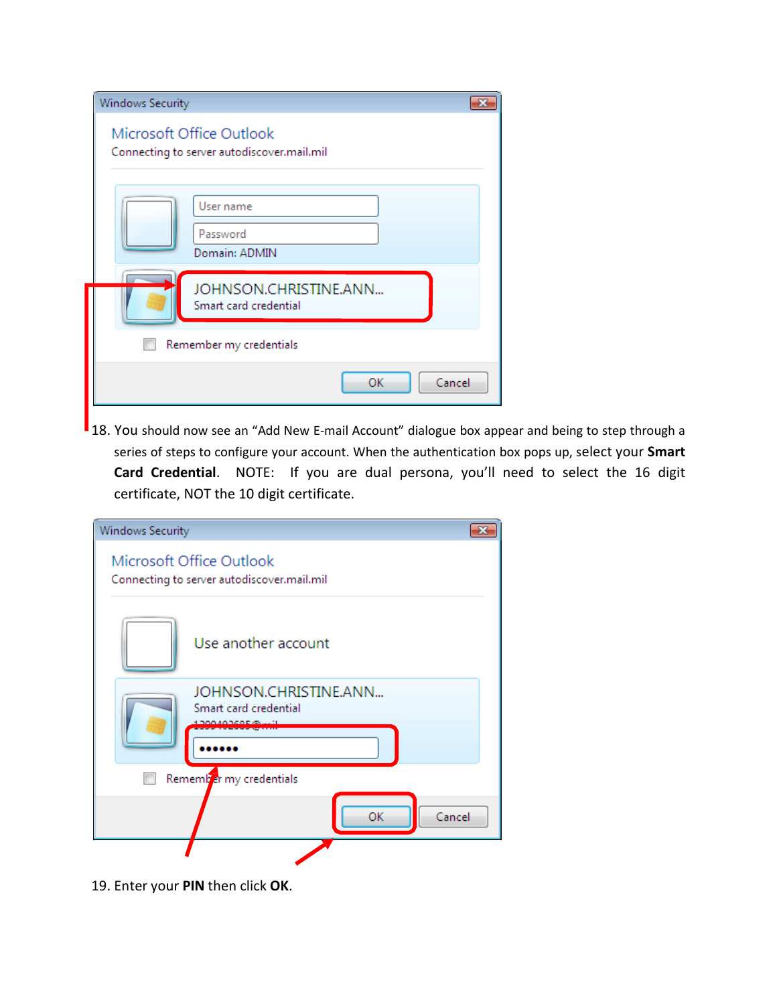| Windows Security                                                       |  |
|------------------------------------------------------------------------|--|
| Microsoft Office Outlook<br>Connecting to server autodiscover.mail.mil |  |
| User name<br>Password<br>Domain: ADMIN                                 |  |
| JOHNSON.CHRISTINE.ANN<br>Smart card credential                         |  |
| Remember my credentials                                                |  |
| OK<br>Cancel                                                           |  |

18. You should now see an "Add New E-mail Account" dialogue box appear and being to step through a series of steps to configure your account. When the authentication box pops up, select your **Smart Card Credential**. NOTE: If you are dual persona, you'll need to select the 16 digit certificate, NOT the 10 digit certificate.

| <b>Windows Security</b>                                                |  |
|------------------------------------------------------------------------|--|
| Microsoft Office Outlook<br>Connecting to server autodiscover.mail.mil |  |
| Use another account                                                    |  |
| JOHNSON.CHRISTINE.ANN<br>Smart card credential<br>1 DOOAOD COE GA      |  |
| Remember my credentials                                                |  |
| OK<br>Cancel                                                           |  |
|                                                                        |  |

19. Enter your **PIN** then click **OK**.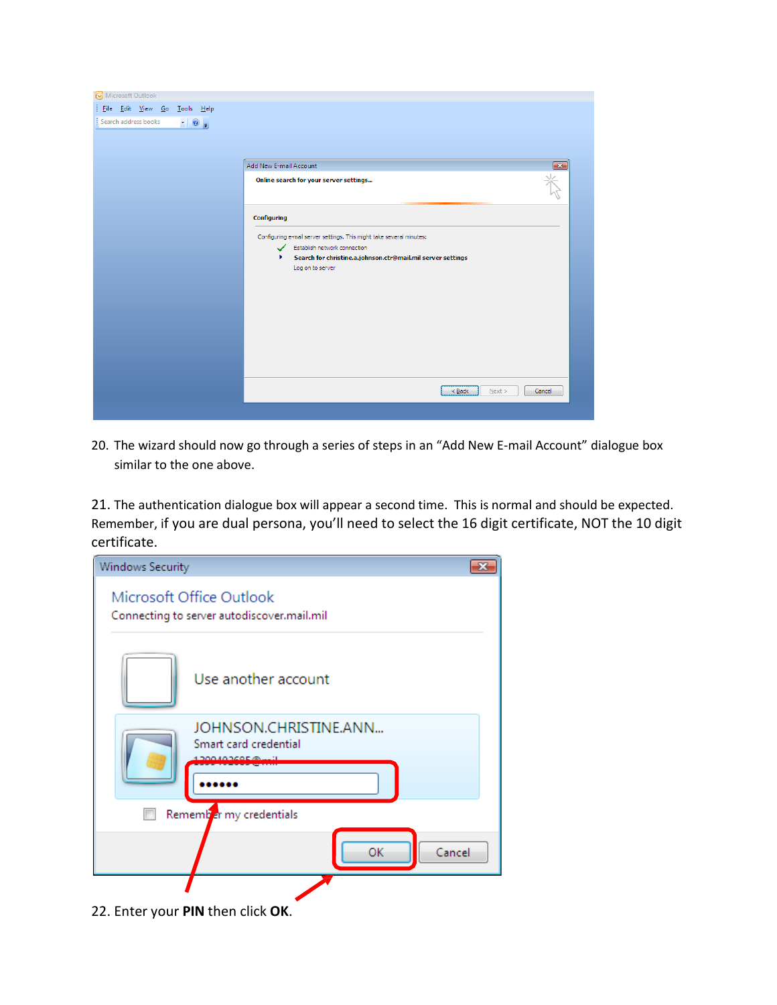

20. The wizard should now go through a series of steps in an "Add New E-mail Account" dialogue box similar to the one above.

21. The authentication dialogue box will appear a second time. This is normal and should be expected. Remember, if you are dual persona, you'll need to select the 16 digit certificate, NOT the 10 digit certificate.



22. Enter your **PIN** then click **OK**.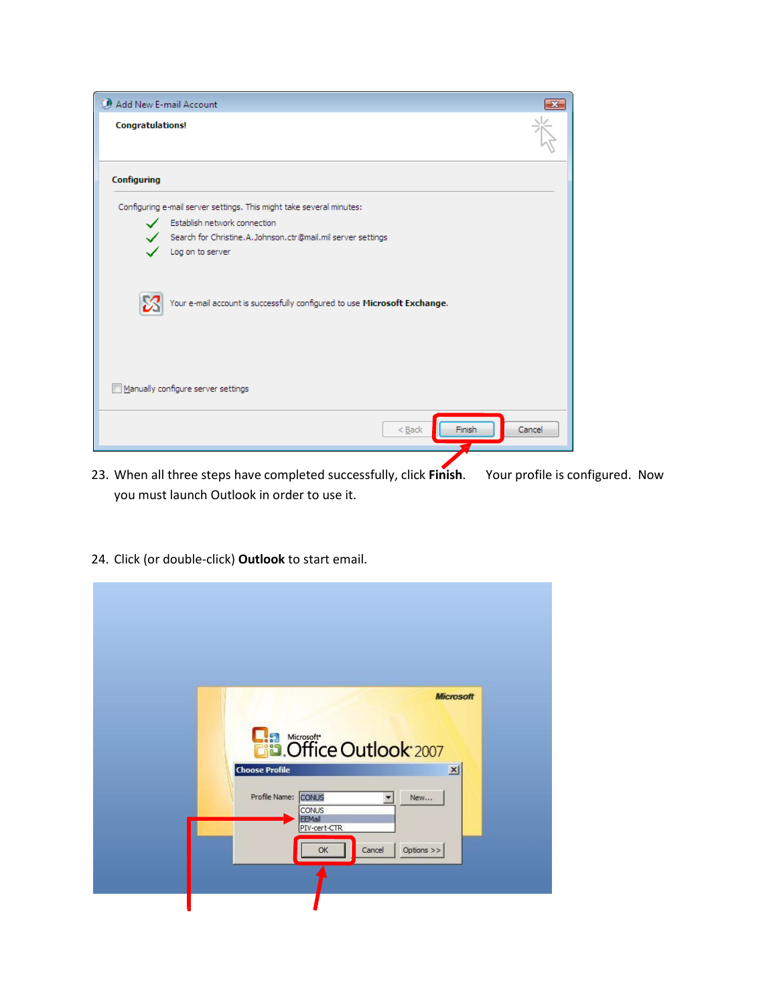

- 23. When all three steps have completed successfully, click **Finish**. Your profile is configured. Now you must launch Outlook in order to use it.
- 24. Click (or double-click) **Outlook** to start email.

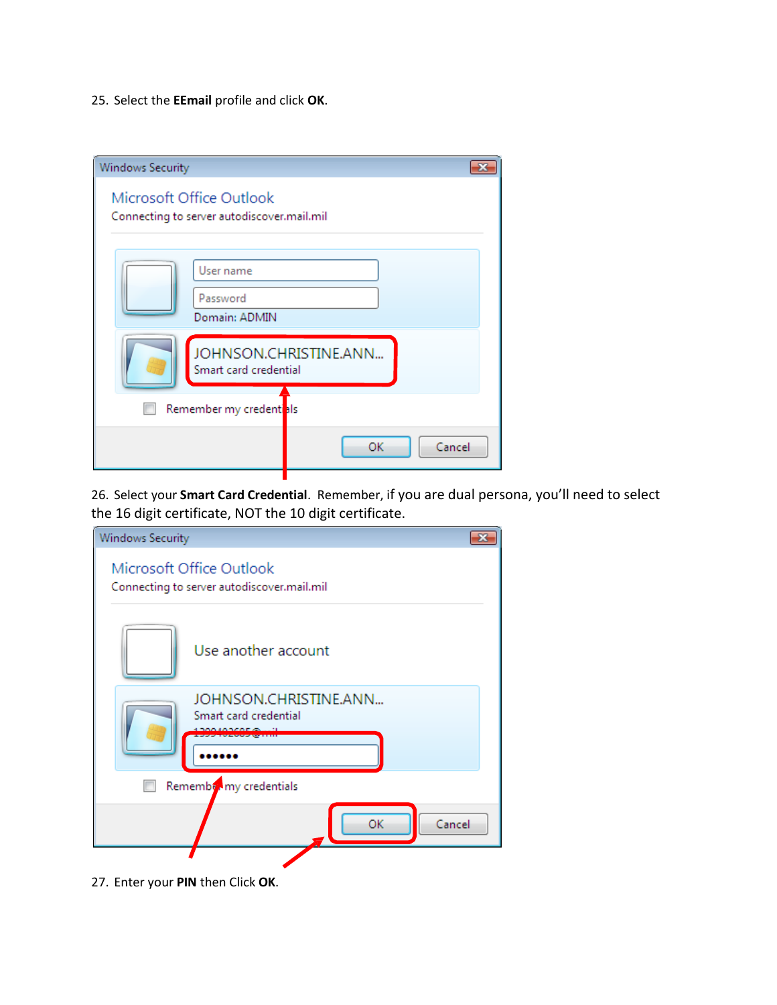25. Select the **EEmail** profile and click **OK**.

| <b>Windows Security</b>                                                |                       |
|------------------------------------------------------------------------|-----------------------|
| Microsoft Office Outlook<br>Connecting to server autodiscover.mail.mil |                       |
| User name<br>Password<br>Domain: ADMIN                                 |                       |
| Smart card credential                                                  | JOHNSON.CHRISTINE.ANN |
| Remember my credent <sup>als</sup>                                     |                       |
|                                                                        | Cancel<br>ОК          |

26. Select your **Smart Card Credential**. Remember, if you are dual persona, you'll need to select the 16 digit certificate, NOT the 10 digit certificate.

| <b>Windows Security</b>                                                |  |
|------------------------------------------------------------------------|--|
| Microsoft Office Outlook<br>Connecting to server autodiscover.mail.mil |  |
| Use another account                                                    |  |
| JOHNSON.CHRISTINE.ANN<br>Smart card credential                         |  |
| Remember my credentials                                                |  |
| Cancel<br>ОΚ                                                           |  |
|                                                                        |  |

27. Enter your **PIN** then Click **OK**.